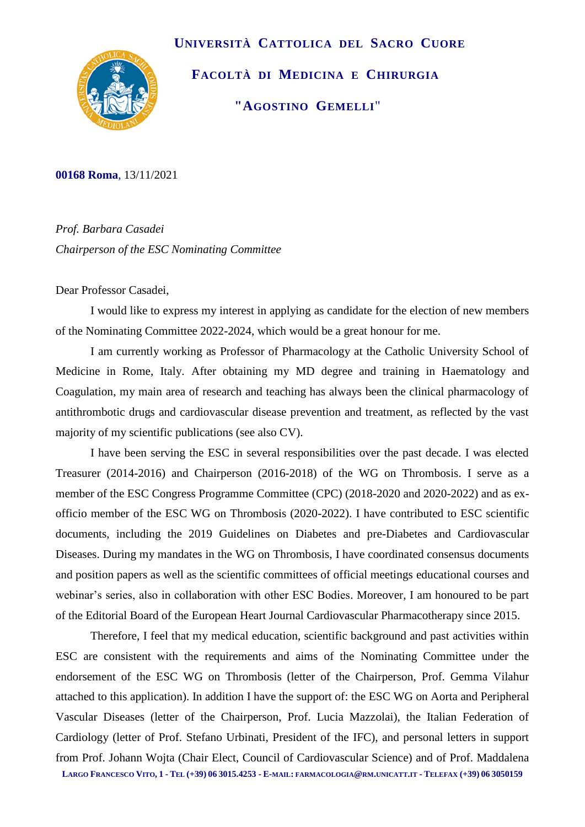

 **UNIVERSITÀ CATTOLICA DEL SACRO CUORE FACOLTÀ DI MEDICINA E CHIRURGIA "AGOSTINO GEMELLI**"

**00168 Roma**, 13/11/2021

*Prof. Barbara Casadei Chairperson of the ESC Nominating Committee*

Dear Professor Casadei,

I would like to express my interest in applying as candidate for the election of new members of the Nominating Committee 2022-2024, which would be a great honour for me.

I am currently working as Professor of Pharmacology at the Catholic University School of Medicine in Rome, Italy. After obtaining my MD degree and training in Haematology and Coagulation, my main area of research and teaching has always been the clinical pharmacology of antithrombotic drugs and cardiovascular disease prevention and treatment, as reflected by the vast majority of my scientific publications (see also CV).

I have been serving the ESC in several responsibilities over the past decade. I was elected Treasurer (2014-2016) and Chairperson (2016-2018) of the WG on Thrombosis. I serve as a member of the ESC Congress Programme Committee (CPC) (2018-2020 and 2020-2022) and as exofficio member of the ESC WG on Thrombosis (2020-2022). I have contributed to ESC scientific documents, including the 2019 Guidelines on Diabetes and pre-Diabetes and Cardiovascular Diseases. During my mandates in the WG on Thrombosis, I have coordinated consensus documents and position papers as well as the scientific committees of official meetings educational courses and webinar's series, also in collaboration with other ESC Bodies. Moreover, I am honoured to be part of the Editorial Board of the European Heart Journal Cardiovascular Pharmacotherapy since 2015.

LARGO FRANCESCO VITO, 1 - TEL (+39) 06 3015.4253 - E-MAIL: FARMACOLOGIA @RM.UNICATT.IT - TELEFAX (+39) 06 3050159 Therefore, I feel that my medical education, scientific background and past activities within ESC are consistent with the requirements and aims of the Nominating Committee under the endorsement of the ESC WG on Thrombosis (letter of the Chairperson, Prof. Gemma Vilahur attached to this application). In addition I have the support of: the ESC WG on Aorta and Peripheral Vascular Diseases (letter of the Chairperson, Prof. Lucia Mazzolai), the Italian Federation of Cardiology (letter of Prof. Stefano Urbinati, President of the IFC), and personal letters in support from Prof. Johann Wojta (Chair Elect, Council of Cardiovascular Science) and of Prof. Maddalena